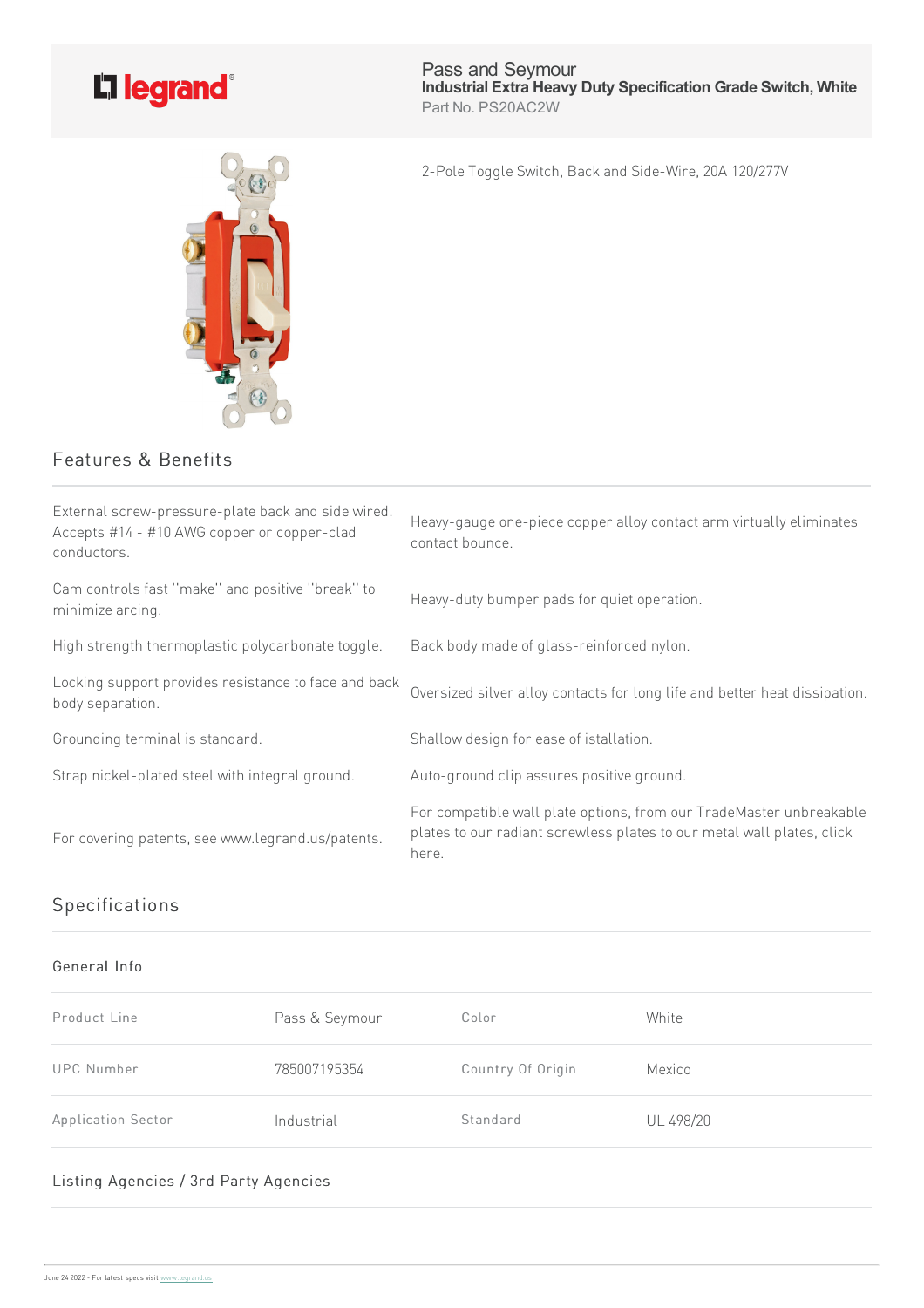

Pass and Seymour **Industrial Extra Heavy Duty Specification Grade Switch, White** Part No. PS20AC2W

2-Pole Toggle Switch, Back and Side-Wire, 20A 120/277V

## Features & Benefits

| External screw-pressure-plate back and side wired.<br>Accepts #14 - #10 AWG copper or copper-clad<br>conductors. | Heavy-gauge one-piece copper alloy contact arm virtually eliminates<br>contact bounce.                                                                 |
|------------------------------------------------------------------------------------------------------------------|--------------------------------------------------------------------------------------------------------------------------------------------------------|
| Cam controls fast "make" and positive "break" to<br>minimize arcing.                                             | Heavy-duty bumper pads for quiet operation.                                                                                                            |
| High strength thermoplastic polycarbonate toggle.                                                                | Back body made of glass-reinforced nylon.                                                                                                              |
| Locking support provides resistance to face and back<br>body separation.                                         | Oversized silver alloy contacts for long life and better heat dissipation.                                                                             |
| Grounding terminal is standard.                                                                                  | Shallow design for ease of istallation.                                                                                                                |
| Strap nickel-plated steel with integral ground.                                                                  | Auto-ground clip assures positive ground.                                                                                                              |
| For covering patents, see www.legrand.us/patents.                                                                | For compatible wall plate options, from our TradeMaster unbreakable<br>plates to our radiant screwless plates to our metal wall plates, click<br>here. |

## Specifications

## General Info

| Product Line       | Pass & Seymour | Color             | White     |
|--------------------|----------------|-------------------|-----------|
| UPC Number         | 785007195354   | Country Of Origin | Mexico    |
| Application Sector | Industrial     | Standard          | UL 498/20 |

## Listing Agencies / 3rd Party Agencies